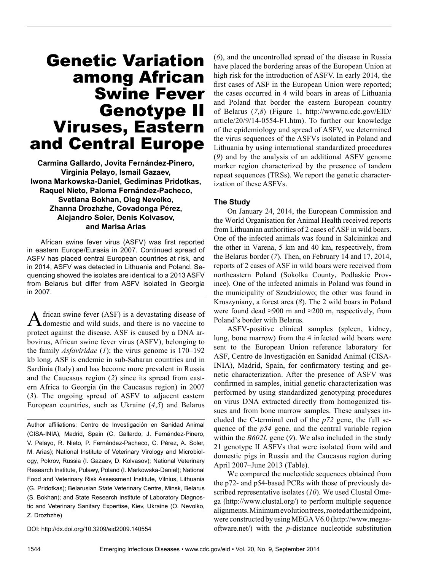# Genetic Variation among African Swine Fever Genotype II Viruses, Eastern and Central Europe

**Carmina Gallardo, Jovita Fernández-Pinero, Virginia Pelayo, Ismail Gazaev, Iwona Markowska-Daniel, Gediminas Pridotkas, Raquel Nieto, Paloma Fernández-Pacheco, Svetlana Bokhan, Oleg Nevolko, Zhanna Drozhzhe, Covadonga Pérez, Alejandro Soler, Denis Kolvasov, and Marisa Arias**

African swine fever virus (ASFV) was first reported in eastern Europe/Eurasia in 2007. Continued spread of ASFV has placed central European countries at risk, and in 2014, ASFV was detected in Lithuania and Poland. Sequencing showed the isolates are identical to a 2013 ASFV from Belarus but differ from ASFV isolated in Georgia in 2007.

African swine fever (ASF) is a devastating disease of domestic and wild suids, and there is no vaccine to protect against the disease. ASF is caused by a DNA arbovirus, African swine fever virus (ASFV), belonging to the family *Asfaviridae* (*1*); the virus genome is 170–192 kb long. ASF is endemic in sub-Saharan countries and in Sardinia (Italy) and has become more prevalent in Russia and the Caucasus region (*2*) since its spread from eastern Africa to Georgia (in the Caucasus region) in 2007 (*3*). The ongoing spread of ASFV to adjacent eastern European countries, such as Ukraine (*4*,*5*) and Belarus

Author affiliations: Centro de Investigación en Sanidad Animal (CISA-INIA), Madrid, Spain (C. Gallardo, J. Fernández-Pinero, V. Pelayo, R. Nieto, P. Fernández-Pacheco, C. Pérez, A. Soler, M. Arias); National Institute of Veterinary Virology and Microbiology, Pokrov, Russia (I. Gazaev, D. Kolvasov); National Veterinary Research Institute, Pulawy, Poland (I. Markowska-Daniel); National Food and Veterinary Risk Assessment Institute, Vilnius, Lithuania (G. Pridotkas); Belarusian State Veterinary Centre, Minsk, Belarus (S. Bokhan); and State Research Institute of Laboratory Diagnostic and Veterinary Sanitary Expertise, Kiev, Ukraine (O. Nevolko, Z. Drozhzhe)

DOI: http://dx.doi.org/10.3209/eid2009.140554

(*6*), and the uncontrolled spread of the disease in Russia have placed the bordering areas of the European Union at high risk for the introduction of ASFV. In early 2014, the first cases of ASF in the European Union were reported; the cases occurred in 4 wild boars in areas of Lithuania and Poland that border the eastern European country of Belarus (*7*,*8*) (Figure 1, http://wwwnc.cdc.gov/EID/ article/20/9/14-0554-F1.htm). To further our knowledge of the epidemiology and spread of ASFV, we determined the virus sequences of the ASFVs isolated in Poland and Lithuania by using international standardized procedures (*9*) and by the analysis of an additional ASFV genome marker region characterized by the presence of tandem repeat sequences (TRSs). We report the genetic characterization of these ASFVs.

#### **The Study**

On January 24, 2014, the European Commission and the World Organisation for Animal Health received reports from Lithuanian authorities of 2 cases of ASF in wild boars. One of the infected animals was found in Salcininkai and the other in Varena, 5 km and 40 km, respectively, from the Belarus border (*7*). Then, on February 14 and 17, 2014, reports of 2 cases of ASF in wild boars were received from northeastern Poland (Sokolka County, Podlaskie Province). One of the infected animals in Poland was found in the municipality of Szudzialowo; the other was found in Kruszyniany, a forest area (*8*). The 2 wild boars in Poland were found dead ≈900 m and ≈200 m, respectively, from Poland's border with Belarus.

ASFV-positive clinical samples (spleen, kidney, lung, bone marrow) from the 4 infected wild boars were sent to the European Union reference laboratory for ASF, Centro de Investigación en Sanidad Animal (CISA-INIA), Madrid, Spain, for confirmatory testing and genetic characterization. After the presence of ASFV was confirmed in samples, initial genetic characterization was performed by using standardized genotyping procedures on virus DNA extracted directly from homogenized tissues and from bone marrow samples. These analyses included the C-terminal end of the *p72* gene, the full sequence of the *p54* gene, and the central variable region within the *B602L* gene (*9*). We also included in the study 21 genotype II ASFVs that were isolated from wild and domestic pigs in Russia and the Caucasus region during April 2007–June 2013 (Table).

We compared the nucleotide sequences obtained from the p72- and p54-based PCRs with those of previously described representative isolates (*10*). We used Clustal Omega (http://www.clustal.org/) to perform multiple sequence alignments. Minimum evolution trees, rooted at the midpoint, were constructed by using MEGA V6.0 (http://www.megasoftware.net/) with the *p*-distance nucleotide substitution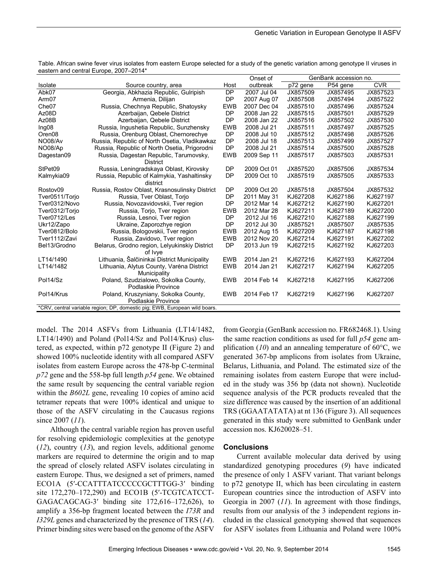|                                                                            |                                                |            | Onset of    | GenBank accession no. |          |            |
|----------------------------------------------------------------------------|------------------------------------------------|------------|-------------|-----------------------|----------|------------|
| Isolate                                                                    | Source country, area                           | Host       | outbreak    | p72 gene              | P54 gene | <b>CVR</b> |
| Abk07                                                                      | Georgia, Abkhazia Republic, Gulripish          | <b>DP</b>  | 2007 Jul 04 | JX857509              | JX857495 | JX857523   |
| Arm <sub>07</sub>                                                          | Armenia, Dilijan                               | <b>DP</b>  | 2007 Aug 07 | JX857508              | JX857494 | JX857522   |
| Che <sub>07</sub>                                                          | Russia, Chechnya Republic, Shatoysky           | <b>EWB</b> | 2007 Dec 04 | JX857510              | JX857496 | JX857524   |
| Az08D                                                                      | Azerbaijan, Qebele District                    | <b>DP</b>  | 2008 Jan 22 | JX857515              | JX857501 | JX857529   |
| Az08B                                                                      | Azerbaijan, Qebele District                    | <b>DP</b>  | 2008 Jan 22 | JX857516              | JX857502 | JX857530   |
| Ing08                                                                      | Russia, Ingushetia Republic, Sunzhensky        | <b>EWB</b> | 2008 Jul 21 | JX857511              | JX857497 | JX857525   |
| Oren <sub>08</sub>                                                         | Russia, Orenburg Oblast, Chernorechye          | <b>DP</b>  | 2008 Jul 10 | JX857512              | JX857498 | JX857526   |
| NO08/Av                                                                    | Russia, Republic of North Osetia, Vladikawkaz  | <b>DP</b>  | 2008 Jul 18 | JX857513              | JX857499 | JX857527   |
| NO08/Ap                                                                    | Russia, Republic of North Osetia, Prigorodni   | <b>DP</b>  | 2008 Jul 21 | JX857514              | JX857500 | JX857528   |
| Dagestan09                                                                 | Russia, Dagestan Republic, Tarumovsky,         | <b>EWB</b> | 2009 Sep 11 | JX857517              | JX857503 | JX857531   |
|                                                                            | <b>District</b>                                |            |             |                       |          |            |
| StPet09                                                                    | Russia, Leningradskaya Oblast, Kirovsky        | <b>DP</b>  | 2009 Oct 01 | JX857520              | JX857506 | JX857534   |
| Kalmykia09                                                                 | Russia, Republic of Kalmykia, Yashaltinsky     | <b>DP</b>  | 2009 Oct 10 | JX857519              | JX857505 | JX857533   |
|                                                                            | district                                       |            |             |                       |          |            |
| Rostov09                                                                   | Russia, Rostov Oblast, Krasnosulinsky District | <b>DP</b>  | 2009 Oct 20 | JX857518              | JX857504 | JX857532   |
| Tver0511/Torjo                                                             | Russia, Tver Oblast, Torio                     | <b>DP</b>  | 2011 May 31 | KJ627208              | KJ627186 | KJ627197   |
| Tver0312/Novo                                                              | Russia, Novozavidovskii, Tver region           | <b>DP</b>  | 2012 Mar 14 | KJ627212              | KJ627190 | KJ627201   |
| Tver0312/Torjo                                                             | Russia, Torjo, Tver region                     | <b>EWB</b> | 2012 Mar 28 | KJ627211              | KJ627189 | KJ627200   |
| Tver0712/Les                                                               | Russia, Lesnoi, Tver region                    | <b>DP</b>  | 2012 Jul 16 | KJ627210              | KJ627188 | KJ627199   |
| Ukr12/Zapo                                                                 | Ukraine, Zaporozhye region                     | <b>DP</b>  | 2012 Jul 30 | JX857521              | JX857507 | JX857535   |
| Tver0812/Bolo                                                              | Russia, Bologovskii, Tver region               | <b>EWB</b> | 2012 Aug 15 | KJ627209              | KJ627187 | KJ627198   |
| Tver1112/Zavi                                                              | Russia, Zavidovo, Tver region                  | <b>EWB</b> | 2012 Nov 20 | KJ627214              | KJ627191 | KJ627202   |
| Bel13/Grodno                                                               | Belarus, Grodno region, Lelyukinskiy District  | <b>DP</b>  | 2013 Jun 19 | KJ627215              | KJ627192 | KJ627203   |
|                                                                            | of Ivye                                        |            |             |                       |          |            |
| LT14/1490                                                                  | Lithuania, Šalčininkai District Municipality   | <b>EWB</b> | 2014 Jan 21 | KJ627216              | KJ627193 | KJ627204   |
| LT14/1482                                                                  | Lithuania, Alytus County, Varėna District      | <b>EWB</b> | 2014 Jan 21 | KJ627217              | KJ627194 | KJ627205   |
|                                                                            | Municipality                                   |            |             |                       |          |            |
| Pol14/Sz                                                                   | Poland, Szudzialowo, Sokolka County,           | <b>EWB</b> | 2014 Feb 14 | KJ627218              | KJ627195 | KJ627206   |
|                                                                            | Podlaskie Province                             |            |             |                       |          |            |
| Pol14/Krus                                                                 | Poland, Kruszyniany, Sokolka County,           | <b>EWB</b> | 2014 Feb 17 | KJ627219              | KJ627196 | KJ627207   |
|                                                                            | Podlaskie Province                             |            |             |                       |          |            |
| *CRV, central variable region; DP, domestic pig; EWB, European wild boars. |                                                |            |             |                       |          |            |

Table. African swine fever virus isolates from eastern Europe selected for a study of the genetic variation among genotype II viruses in eastern and central Europe, 2007–2014\*

model. The 2014 ASFVs from Lithuania (LT14/1482, LT14/1490) and Poland (Pol14/Sz and Pol14/Krus) clustered, as expected, within p72 genotype II (Figure 2) and showed 100% nucleotide identity with all compared ASFV isolates from eastern Europe across the 478-bp C-terminal *p72* gene and the 558-bp full length *p54* gene. We obtained the same result by sequencing the central variable region within the *B602L* gene, revealing 10 copies of amino acid tetramer repeats that were 100% identical and unique to those of the ASFV circulating in the Caucasus regions since 2007 (*11*).

Although the central variable region has proven useful for resolving epidemiologic complexities at the genotype (*12*), country (*13*), and region levels, additional genome markers are required to determine the origin and to map the spread of closely related ASFV isolates circulating in eastern Europe. Thus, we designed a set of primers, named ECO1A (5′-CCATTTATCCCCCGCTTTGG-3′ binding site 172,270–172,290) and ECO1B (5′-TCGTCATCCT-GAGACAGCAG-3′ binding site 172,616–172,626), to amplify a 356-bp fragment located between the *I73R* and *I329L* genes and characterized by the presence of TRS (*14*). Primer binding sites were based on the genome of the ASFV

from Georgia (GenBank accession no. FR682468.1). Using the same reaction conditions as used for full *p54* gene amplification (*10*) and an annealing temperature of 60°C, we generated 367-bp amplicons from isolates from Ukraine, Belarus, Lithuania, and Poland. The estimated size of the remaining isolates from eastern Europe that were included in the study was 356 bp (data not shown). Nucleotide sequence analysis of the PCR products revealed that the size difference was caused by the insertion of an additional TRS (GGAATATATA) at nt 136 (Figure 3). All sequences generated in this study were submitted to GenBank under accession nos. KJ620028–51.

### **Conclusions**

Current available molecular data derived by using standardized genotyping procedures (*9*) have indicated the presence of only 1 ASFV variant. That variant belongs to p72 genotype II, which has been circulating in eastern European countries since the introduction of ASFV into Georgia in 2007 (*11*). In agreement with those findings, results from our analysis of the 3 independent regions included in the classical genotyping showed that sequences for ASFV isolates from Lithuania and Poland were 100%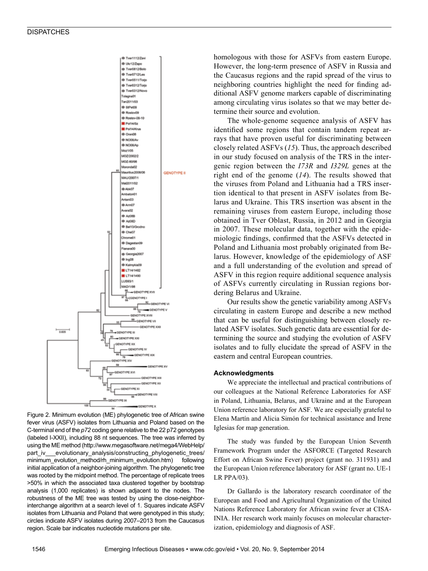

Figure 2. Minimum evolution (ME) phylogenetic tree of African swine fever virus (ASFV) isolates from Lithuania and Poland based on the C-terminal end of the *p72* coding gene relative to the 22 p72 genotypes (labeled I-XXII), including 88 nt sequences. The tree was inferred by using the ME method (http://www.megasoftware.net/mega4/WebHelp/ part iv evolutionary analysis/constructing phylogenetic trees/ minimum\_evolution\_method/rh\_minimum\_evolution.htm) following initial application of a neighbor-joining algorithm. The phylogenetic tree was rooted by the midpoint method. The percentage of replicate trees >50% in which the associated taxa clustered together by bootstrap analysis (1,000 replicates) is shown adjacent to the nodes. The robustness of the ME tree was tested by using the close-neighborinterchange algorithm at a search level of 1. Squares indicate ASFV isolates from Lithuania and Poland that were genotyped in this study; circles indicate ASFV isolates during 2007–2013 from the Caucasus region. Scale bar indicates nucleotide mutations per site.

homologous with those for ASFVs from eastern Europe. However, the long-term presence of ASFV in Russia and the Caucasus regions and the rapid spread of the virus to neighboring countries highlight the need for finding additional ASFV genome markers capable of discriminating among circulating virus isolates so that we may better determine their source and evolution.

The whole-genome sequence analysis of ASFV has identified some regions that contain tandem repeat arrays that have proven useful for discriminating between closely related ASFVs (*15*). Thus, the approach described in our study focused on analysis of the TRS in the intergenic region between the *I73R* and *I329L* genes at the right end of the genome (*14*). The results showed that the viruses from Poland and Lithuania had a TRS insertion identical to that present in ASFV isolates from Belarus and Ukraine. This TRS insertion was absent in the remaining viruses from eastern Europe, including those obtained in Tver Oblast, Russia, in 2012 and in Georgia in 2007. These molecular data, together with the epidemiologic findings, confirmed that the ASFVs detected in Poland and Lithuania most probably originated from Belarus. However, knowledge of the epidemiology of ASF and a full understanding of the evolution and spread of ASFV in this region require additional sequence analysis of ASFVs currently circulating in Russian regions bordering Belarus and Ukraine.

Our results show the genetic variability among ASFVs circulating in eastern Europe and describe a new method that can be useful for distinguishing between closely related ASFV isolates. Such genetic data are essential for determining the source and studying the evolution of ASFV isolates and to fully elucidate the spread of ASFV in the eastern and central European countries.

#### **Acknowledgments**

We appreciate the intellectual and practical contributions of our colleagues at the National Reference Laboratories for ASF in Poland, Lithuania, Belarus, and Ukraine and at the European Union reference laboratory for ASF. We are especially grateful to Elena Martín and Alicia Simón for technical assistance and Irene Iglesias for map generation.

The study was funded by the European Union Seventh Framework Program under the ASFORCE (Targeted Research Effort on African Swine Fever) project (grant no. 311931) and the European Union reference laboratory for ASF (grant no. UE-1 LR PPA/03).

Dr Gallardo is the laboratory research coordinator of the European and Food and Agricultural Organization of the United Nations Reference Laboratory for African swine fever at CISA-INIA. Her research work mainly focuses on molecular characterization, epidemiology and diagnosis of ASF.